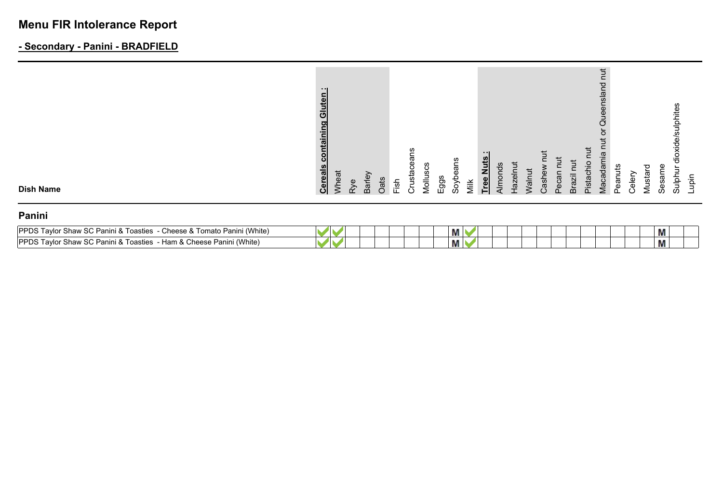# **Menu FIR Intolerance Report**

# **- Secondary - Panini - BRADFIELD**

| <b>Dish Name</b><br>Panini | <b>Cereals</b>                               | Wheat | Rye | Barley | Oats | Fish | ወ<br>Crustace | ذ<br>Mollus | Eggs | eans<br>Soyb | Milk | Z<br><b>Tree</b> | 으<br>Almor | Hazeln | Walnut | Casher | Pecan | Ĕ<br><b>Brazil</b> | Pistachio | Vlacadami | Peanut | celer<br>C | ヮ<br>Mustai | Sesam | ਨ<br>Sulphu         | Lupin |
|----------------------------|----------------------------------------------|-------|-----|--------|------|------|---------------|-------------|------|--------------|------|------------------|------------|--------|--------|--------|-------|--------------------|-----------|-----------|--------|------------|-------------|-------|---------------------|-------|
|                            | .<br>딊<br>Glut<br><u>a</u><br><u>ntainii</u> |       |     |        |      |      | ans           |             |      |              |      |                  |            |        |        |        |       |                    |           | nslar     |        |            |             |       | ulphites<br>oxide/s |       |

| <b>IPPDS Taylor Shaw SC Panini &amp; 1</b><br>(White<br>⊹Tomato Panini<br>- Cheese &<br>Toasties |  |  |  | М |  |  |  |  |  | M |  |
|--------------------------------------------------------------------------------------------------|--|--|--|---|--|--|--|--|--|---|--|
| <b>IPPDS Taylor Shaw SC Panini &amp; 1</b><br>Cheese Panini (White)<br>Toasties<br>- Ham &       |  |  |  | М |  |  |  |  |  | Μ |  |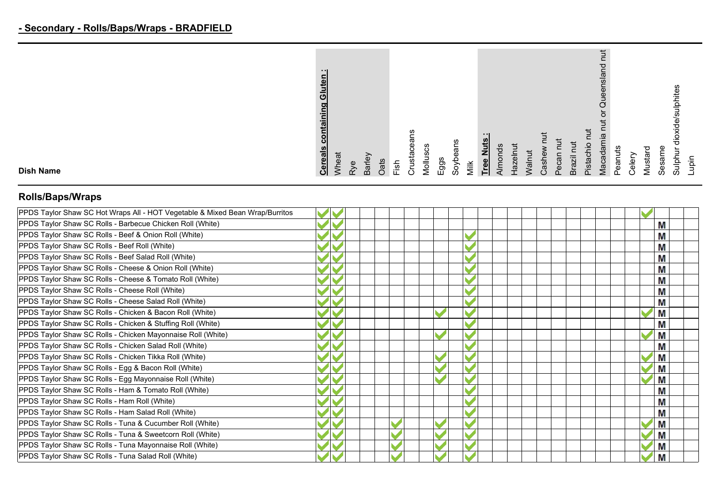|                  | - 11<br>Gluten<br>containing<br><b>Cereals</b> | heat |           |        |      |               | ans<br>Φ<br>usta | ဖ<br>ပ  |      | Soybeans |      | - 11<br><u>et</u><br>z | Almond: | <b>lazelnut</b> | <b>Nalnut</b> |      | ωğ     | 큰      | <b>Tur</b><br>pistachio | ₩<br><b>Macadamia</b> | Peanuts |                      | ▿      | Φ     | ulphites<br>မိ |      |
|------------------|------------------------------------------------|------|-----------|--------|------|---------------|------------------|---------|------|----------|------|------------------------|---------|-----------------|---------------|------|--------|--------|-------------------------|-----------------------|---------|----------------------|--------|-------|----------------|------|
| <b>Dish Name</b> |                                                |      | $\lambda$ | Barley | Oats | $\frac{1}{2}$ | ∽                | Viollus | Eggs |          | Viik | <u>Free</u>            |         |                 |               | Cash | Φ<br>n | Brazil |                         |                       |         | $\frac{1}{\epsilon}$ | Mustai | Sesan | Sulph          | upin |

# **Rolls/Baps/Wraps**

| PPDS Taylor Shaw SC Hot Wraps All - HOT Vegetable & Mixed Bean Wrap/Burritos |  |  |  |   |  |
|------------------------------------------------------------------------------|--|--|--|---|--|
| PPDS Taylor Shaw SC Rolls - Barbecue Chicken Roll (White)                    |  |  |  | M |  |
| PPDS Taylor Shaw SC Rolls - Beef & Onion Roll (White)                        |  |  |  | M |  |
| PPDS Taylor Shaw SC Rolls - Beef Roll (White)                                |  |  |  | M |  |
| PPDS Taylor Shaw SC Rolls - Beef Salad Roll (White)                          |  |  |  | M |  |
| PPDS Taylor Shaw SC Rolls - Cheese & Onion Roll (White)                      |  |  |  | M |  |
| PPDS Taylor Shaw SC Rolls - Cheese & Tomato Roll (White)                     |  |  |  | M |  |
| PPDS Taylor Shaw SC Rolls - Cheese Roll (White)                              |  |  |  | M |  |
| PPDS Taylor Shaw SC Rolls - Cheese Salad Roll (White)                        |  |  |  | M |  |
| PPDS Taylor Shaw SC Rolls - Chicken & Bacon Roll (White)                     |  |  |  | M |  |
| PPDS Taylor Shaw SC Rolls - Chicken & Stuffing Roll (White)                  |  |  |  | M |  |
| PPDS Taylor Shaw SC Rolls - Chicken Mayonnaise Roll (White)                  |  |  |  | Μ |  |
| PPDS Taylor Shaw SC Rolls - Chicken Salad Roll (White)                       |  |  |  | M |  |
| PPDS Taylor Shaw SC Rolls - Chicken Tikka Roll (White)                       |  |  |  | M |  |
| PPDS Taylor Shaw SC Rolls - Egg & Bacon Roll (White)                         |  |  |  | M |  |
| PPDS Taylor Shaw SC Rolls - Egg Mayonnaise Roll (White)                      |  |  |  | M |  |
| PPDS Taylor Shaw SC Rolls - Ham & Tomato Roll (White)                        |  |  |  | M |  |
| PPDS Taylor Shaw SC Rolls - Ham Roll (White)                                 |  |  |  | M |  |
| PPDS Taylor Shaw SC Rolls - Ham Salad Roll (White)                           |  |  |  | M |  |
| PPDS Taylor Shaw SC Rolls - Tuna & Cucumber Roll (White)                     |  |  |  | M |  |
| PPDS Taylor Shaw SC Rolls - Tuna & Sweetcorn Roll (White)                    |  |  |  | Μ |  |
| PPDS Taylor Shaw SC Rolls - Tuna Mayonnaise Roll (White)                     |  |  |  | Μ |  |
| PPDS Taylor Shaw SC Rolls - Tuna Salad Roll (White)                          |  |  |  | M |  |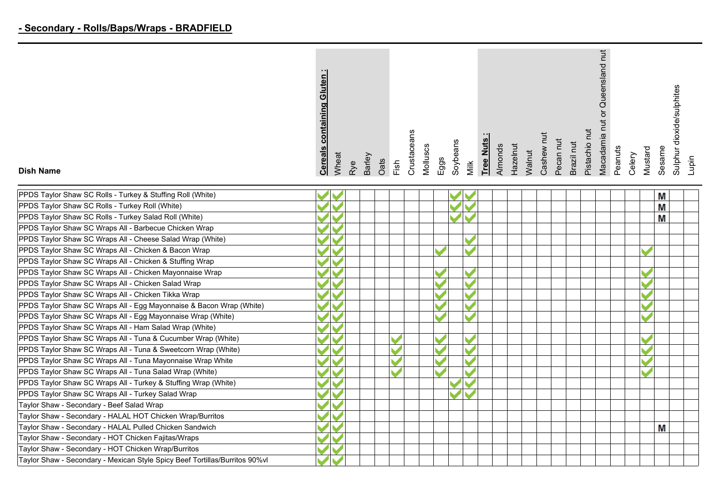| ō<br>nin<br><b>Cereals</b>                                  |
|-------------------------------------------------------------|
| Wheat                                                       |
| Rye                                                         |
| Barley                                                      |
| Oats                                                        |
| Fish                                                        |
| Crustaceans                                                 |
| Molluscs                                                    |
| Eggs                                                        |
| Soybeans                                                    |
| Milk                                                        |
| $\cdots$<br>Tree Nuts                                       |
| Almonds                                                     |
| <b>Hazelnut</b>                                             |
| Walnut                                                      |
| nut<br>Cashew                                               |
| Pecan nut                                                   |
| Brazil nut                                                  |
| j<br>Pistachio                                              |
| Queensland<br>$\overleftarrow{\mathrm{o}}$<br>Macadamia nut |
| Peanuts                                                     |
| Celery                                                      |
| Mustard                                                     |
| Sesame                                                      |
| dioxide/sulphites<br>Sulphur                                |
| Lupin                                                       |
|                                                             |

 $\overline{ }$ 

 $\overline{ }$ 

| PPDS Taylor Shaw SC Rolls - Turkey & Stuffir |
|----------------------------------------------|
| PPDS Taylor Shaw SC Rolls - Turkey Roll (WI  |
| PPDS Taylor Shaw SC Rolls - Turkey Salad R   |
| DDDC Taylor Chaus CO Wreps All<br>$D = -1$   |

**Dish Name**

|  |  |  |  |  |  | М |  |
|--|--|--|--|--|--|---|--|
|  |  |  |  |  |  | Μ |  |
|  |  |  |  |  |  | M |  |
|  |  |  |  |  |  |   |  |
|  |  |  |  |  |  |   |  |
|  |  |  |  |  |  |   |  |
|  |  |  |  |  |  |   |  |
|  |  |  |  |  |  |   |  |
|  |  |  |  |  |  |   |  |
|  |  |  |  |  |  |   |  |
|  |  |  |  |  |  |   |  |
|  |  |  |  |  |  |   |  |
|  |  |  |  |  |  |   |  |
|  |  |  |  |  |  |   |  |
|  |  |  |  |  |  |   |  |
|  |  |  |  |  |  |   |  |
|  |  |  |  |  |  |   |  |
|  |  |  |  |  |  |   |  |
|  |  |  |  |  |  |   |  |
|  |  |  |  |  |  |   |  |
|  |  |  |  |  |  |   |  |
|  |  |  |  |  |  | M |  |
|  |  |  |  |  |  |   |  |
|  |  |  |  |  |  |   |  |
|  |  |  |  |  |  |   |  |
|  |  |  |  |  |  |   |  |

 $\overline{\mathbf{r}}$  $\overline{ }$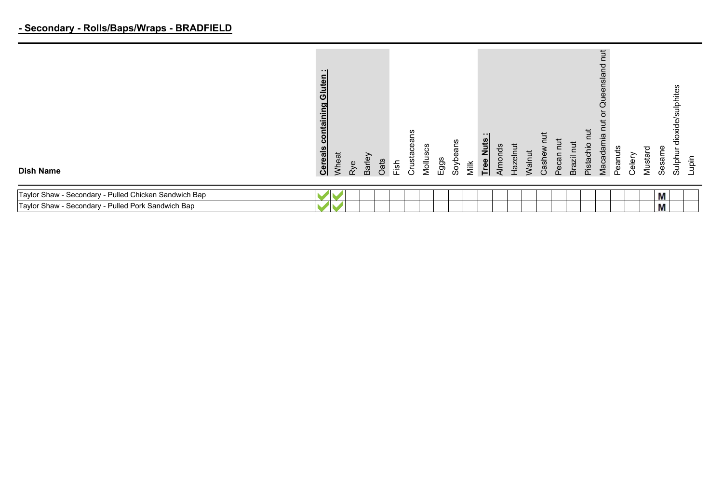### **- Secondary - Rolls/Baps/Wraps - BRADFIELD**

| <b>Dish Name</b>                                      | $\blacksquare$<br>uten<br>ᅙ<br>ng<br>nta<br><b>Cereals</b> | Wheat | Rye | Barley | Oats | Fish | ഗു<br>Crustacea | ပ္ပ<br>Mollus | Eggs | Soybeans | Milk | Tree Nuts | Almonds | Hazelnut | Walnut | Cashew | Pecan | Brazil | Pistachio | $\Xi$<br>c<br>Queensland<br>ō<br>Macadamia | Peanuts | Celery | Mustard | Sesame | ulphites<br>bixide/<br>Sulphur | Lupin |
|-------------------------------------------------------|------------------------------------------------------------|-------|-----|--------|------|------|-----------------|---------------|------|----------|------|-----------|---------|----------|--------|--------|-------|--------|-----------|--------------------------------------------|---------|--------|---------|--------|--------------------------------|-------|
| Taylor Shaw - Secondary - Pulled Chicken Sandwich Bap |                                                            |       |     |        |      |      |                 |               |      |          |      |           |         |          |        |        |       |        |           |                                            |         |        |         | Μ      |                                |       |
| Taylor Shaw - Secondary - Pulled Pork Sandwich Bap    |                                                            |       |     |        |      |      |                 |               |      |          |      |           |         |          |        |        |       |        |           |                                            |         |        |         | М      |                                |       |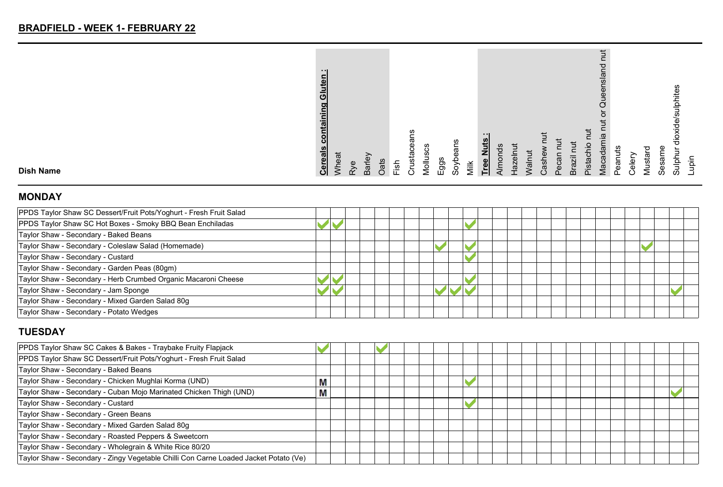| ---<br>ō<br>ining<br><b>Cereals</b> |
|-------------------------------------|
| Wheat                               |
| Rye                                 |
| Barley                              |
| Oats                                |
| Fish                                |
| Crustacear                          |
| Molluscs                            |
| Eggs                                |
| Soybeans                            |
| Milk                                |
| - - 1<br>Tree Nuts                  |
| Almonds                             |
| Hazelnut                            |
| Walnut                              |
| ち<br>Cashew                         |
| Pecan nu                            |
| Brazil nut                          |
| $\overline{a}$<br>Pistachio         |
| ensland<br>Que<br>ŏ<br>Macadamia    |
| Peanuts                             |
| Celery                              |
| Mustard                             |
| Sesame                              |
| de/sulphit<br>ਚੋਂ<br>Sulphur        |
| niqu                                |
|                                     |

#### **MONDAY**

**Dish Name**

| PPDS Taylor Shaw SC Dessert/Fruit Pots/Yoghurt - Fresh Fruit Salad |  |  |  |  |  |  |  |  |  |  |  |  |
|--------------------------------------------------------------------|--|--|--|--|--|--|--|--|--|--|--|--|
| PPDS Taylor Shaw SC Hot Boxes - Smoky BBQ Bean Enchiladas          |  |  |  |  |  |  |  |  |  |  |  |  |
| Taylor Shaw - Secondary - Baked Beans                              |  |  |  |  |  |  |  |  |  |  |  |  |
| Taylor Shaw - Secondary - Coleslaw Salad (Homemade)                |  |  |  |  |  |  |  |  |  |  |  |  |
| Taylor Shaw - Secondary - Custard                                  |  |  |  |  |  |  |  |  |  |  |  |  |
| Taylor Shaw - Secondary - Garden Peas (80gm)                       |  |  |  |  |  |  |  |  |  |  |  |  |
| Taylor Shaw - Secondary - Herb Crumbed Organic Macaroni Cheese     |  |  |  |  |  |  |  |  |  |  |  |  |
| Taylor Shaw - Secondary - Jam Sponge                               |  |  |  |  |  |  |  |  |  |  |  |  |
| Taylor Shaw - Secondary - Mixed Garden Salad 80g                   |  |  |  |  |  |  |  |  |  |  |  |  |
| Taylor Shaw - Secondary - Potato Wedges                            |  |  |  |  |  |  |  |  |  |  |  |  |

# **TUESDAY**

| PPDS Taylor Shaw SC Cakes & Bakes - Traybake Fruity Flapjack                         |   |  |  |  |  |  |  |  |  |  |  |  |
|--------------------------------------------------------------------------------------|---|--|--|--|--|--|--|--|--|--|--|--|
| PPDS Taylor Shaw SC Dessert/Fruit Pots/Yoghurt - Fresh Fruit Salad                   |   |  |  |  |  |  |  |  |  |  |  |  |
| Taylor Shaw - Secondary - Baked Beans                                                |   |  |  |  |  |  |  |  |  |  |  |  |
| Taylor Shaw - Secondary - Chicken Mughlai Korma (UND)                                | Μ |  |  |  |  |  |  |  |  |  |  |  |
| Taylor Shaw - Secondary - Cuban Mojo Marinated Chicken Thigh (UND)                   | Μ |  |  |  |  |  |  |  |  |  |  |  |
| Taylor Shaw - Secondary - Custard                                                    |   |  |  |  |  |  |  |  |  |  |  |  |
| Taylor Shaw - Secondary - Green Beans                                                |   |  |  |  |  |  |  |  |  |  |  |  |
| Taylor Shaw - Secondary - Mixed Garden Salad 80g                                     |   |  |  |  |  |  |  |  |  |  |  |  |
| Taylor Shaw - Secondary - Roasted Peppers & Sweetcorn                                |   |  |  |  |  |  |  |  |  |  |  |  |
| Taylor Shaw - Secondary - Wholegrain & White Rice 80/20                              |   |  |  |  |  |  |  |  |  |  |  |  |
| Taylor Shaw - Secondary - Zingy Vegetable Chilli Con Carne Loaded Jacket Potato (Ve) |   |  |  |  |  |  |  |  |  |  |  |  |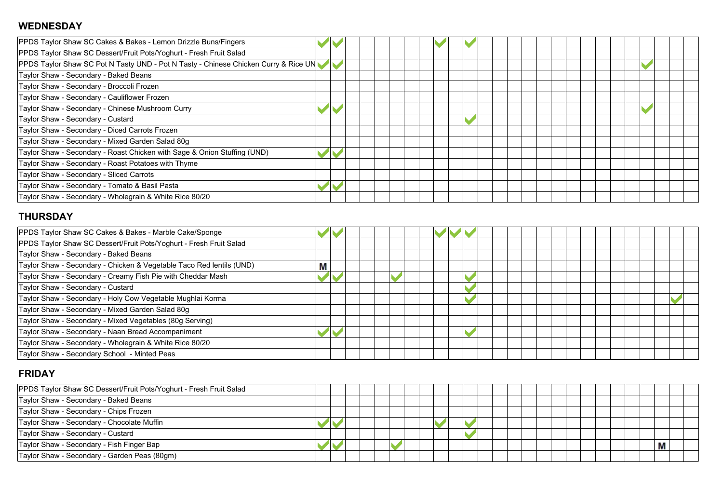#### **WEDNESDAY**

| PPDS Taylor Shaw SC Cakes & Bakes - Lemon Drizzle Buns/Fingers                      |  |  |  |  |  |  |  |  |  |  |  |  |
|-------------------------------------------------------------------------------------|--|--|--|--|--|--|--|--|--|--|--|--|
| PPDS Taylor Shaw SC Dessert/Fruit Pots/Yoghurt - Fresh Fruit Salad                  |  |  |  |  |  |  |  |  |  |  |  |  |
| PPDS Taylor Shaw SC Pot N Tasty UND - Pot N Tasty - Chinese Chicken Curry & Rice UN |  |  |  |  |  |  |  |  |  |  |  |  |
| Taylor Shaw - Secondary - Baked Beans                                               |  |  |  |  |  |  |  |  |  |  |  |  |
| Taylor Shaw - Secondary - Broccoli Frozen                                           |  |  |  |  |  |  |  |  |  |  |  |  |
| Taylor Shaw - Secondary - Cauliflower Frozen                                        |  |  |  |  |  |  |  |  |  |  |  |  |
| Taylor Shaw - Secondary - Chinese Mushroom Curry                                    |  |  |  |  |  |  |  |  |  |  |  |  |
| Taylor Shaw - Secondary - Custard                                                   |  |  |  |  |  |  |  |  |  |  |  |  |
| Taylor Shaw - Secondary - Diced Carrots Frozen                                      |  |  |  |  |  |  |  |  |  |  |  |  |
| Taylor Shaw - Secondary - Mixed Garden Salad 80g                                    |  |  |  |  |  |  |  |  |  |  |  |  |
| Taylor Shaw - Secondary - Roast Chicken with Sage & Onion Stuffing (UND)            |  |  |  |  |  |  |  |  |  |  |  |  |
| Taylor Shaw - Secondary - Roast Potatoes with Thyme                                 |  |  |  |  |  |  |  |  |  |  |  |  |
| Taylor Shaw - Secondary - Sliced Carrots                                            |  |  |  |  |  |  |  |  |  |  |  |  |
| Taylor Shaw - Secondary - Tomato & Basil Pasta                                      |  |  |  |  |  |  |  |  |  |  |  |  |
| Taylor Shaw - Secondary - Wholegrain & White Rice 80/20                             |  |  |  |  |  |  |  |  |  |  |  |  |

### **THURSDAY**

| PPDS Taylor Shaw SC Cakes & Bakes - Marble Cake/Sponge               |   |  |  |  |  |  |  |  |  |  |  |  |
|----------------------------------------------------------------------|---|--|--|--|--|--|--|--|--|--|--|--|
| PPDS Taylor Shaw SC Dessert/Fruit Pots/Yoghurt - Fresh Fruit Salad   |   |  |  |  |  |  |  |  |  |  |  |  |
| Taylor Shaw - Secondary - Baked Beans                                |   |  |  |  |  |  |  |  |  |  |  |  |
| Taylor Shaw - Secondary - Chicken & Vegetable Taco Red lentils (UND) | М |  |  |  |  |  |  |  |  |  |  |  |
| Taylor Shaw - Secondary - Creamy Fish Pie with Cheddar Mash          |   |  |  |  |  |  |  |  |  |  |  |  |
| Taylor Shaw - Secondary - Custard                                    |   |  |  |  |  |  |  |  |  |  |  |  |
| Taylor Shaw - Secondary - Holy Cow Vegetable Mughlai Korma           |   |  |  |  |  |  |  |  |  |  |  |  |
| Taylor Shaw - Secondary - Mixed Garden Salad 80g                     |   |  |  |  |  |  |  |  |  |  |  |  |
| Taylor Shaw - Secondary - Mixed Vegetables (80g Serving)             |   |  |  |  |  |  |  |  |  |  |  |  |
| Taylor Shaw - Secondary - Naan Bread Accompaniment                   |   |  |  |  |  |  |  |  |  |  |  |  |
| Taylor Shaw - Secondary - Wholegrain & White Rice 80/20              |   |  |  |  |  |  |  |  |  |  |  |  |
| Taylor Shaw - Secondary School - Minted Peas                         |   |  |  |  |  |  |  |  |  |  |  |  |

#### **FRIDAY**

| PPDS Taylor Shaw SC Dessert/Fruit Pots/Yoghurt - Fresh Fruit Salad |  |  |  |  |  |  |  |  |  |  |   |  |
|--------------------------------------------------------------------|--|--|--|--|--|--|--|--|--|--|---|--|
| Taylor Shaw - Secondary - Baked Beans                              |  |  |  |  |  |  |  |  |  |  |   |  |
| Taylor Shaw - Secondary - Chips Frozen                             |  |  |  |  |  |  |  |  |  |  |   |  |
| Taylor Shaw - Secondary - Chocolate Muffin                         |  |  |  |  |  |  |  |  |  |  |   |  |
| Taylor Shaw - Secondary - Custard                                  |  |  |  |  |  |  |  |  |  |  |   |  |
| Taylor Shaw - Secondary - Fish Finger Bap                          |  |  |  |  |  |  |  |  |  |  | Μ |  |
| Taylor Shaw - Secondary - Garden Peas (80gm)                       |  |  |  |  |  |  |  |  |  |  |   |  |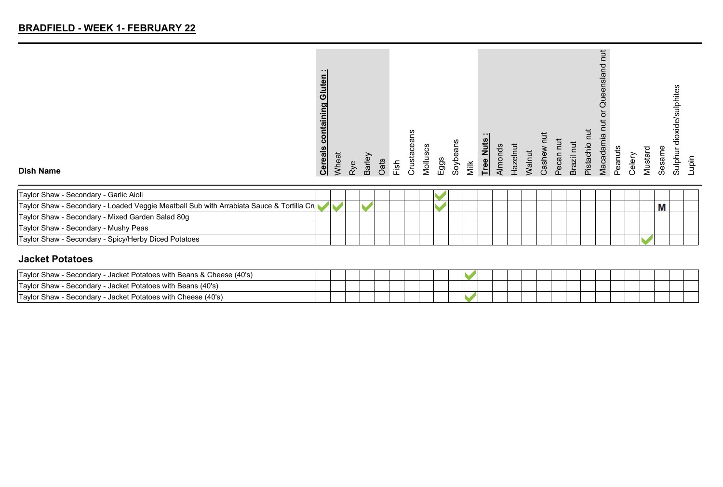|                  | $\cdot$ .<br>Gluten<br>containing<br><b>Cereals</b> | Wheat | Φ | Barley |             |               | ഇ<br>ω<br>rustacea |        |      | Soybeans |      | Tree Nuts |      | lazelr | Valnut | Cashe |       | iize | ءِ.<br>Pistacl | ᅙ<br>nslar<br>g<br>з<br>≌<br>Macadam | Peanuts | Celery | P<br>효 | Sesame | ulphite     | upin |
|------------------|-----------------------------------------------------|-------|---|--------|-------------|---------------|--------------------|--------|------|----------|------|-----------|------|--------|--------|-------|-------|------|----------------|--------------------------------------|---------|--------|--------|--------|-------------|------|
| <b>Dish Name</b> |                                                     |       | ⋧ |        | <b>Cats</b> | $\frac{1}{2}$ | ò                  | violus | Eggs |          | Milk |           | Nmor |        |        |       | Pecar | ൹    |                |                                      |         |        | Musi   |        | aln<br>Sulp |      |

| Taylor Shaw - Secondary - Garlic Aioli                                                   |  |  |  |  |  |  |  |  |  |  |  |
|------------------------------------------------------------------------------------------|--|--|--|--|--|--|--|--|--|--|--|
| Taylor Shaw - Secondary - Loaded Veggie Meatball Sub with Arrabiata Sauce & Tortilla Cru |  |  |  |  |  |  |  |  |  |  |  |
| Taylor Shaw - Secondary - Mixed Garden Salad 80g                                         |  |  |  |  |  |  |  |  |  |  |  |
| Taylor Shaw - Secondary - Mushy Peas                                                     |  |  |  |  |  |  |  |  |  |  |  |
| Taylor Shaw - Secondary - Spicy/Herby Diced Potatoes                                     |  |  |  |  |  |  |  |  |  |  |  |

#### **Jacket Potatoes**

| - Jacket Potatoes with Beans & Cheese (40's)<br><sup>1</sup> Taylor Shaw -<br>Secondary |  |  |  |  |  |  |  |
|-----------------------------------------------------------------------------------------|--|--|--|--|--|--|--|
| - Jacket Potatoes with Beans (40's)<br>'Tavlor Shaw<br>Secondary                        |  |  |  |  |  |  |  |
| - Jacket Potatoes with Cheese (40's)<br><b>Taylor Shaw - Secondary -</b>                |  |  |  |  |  |  |  |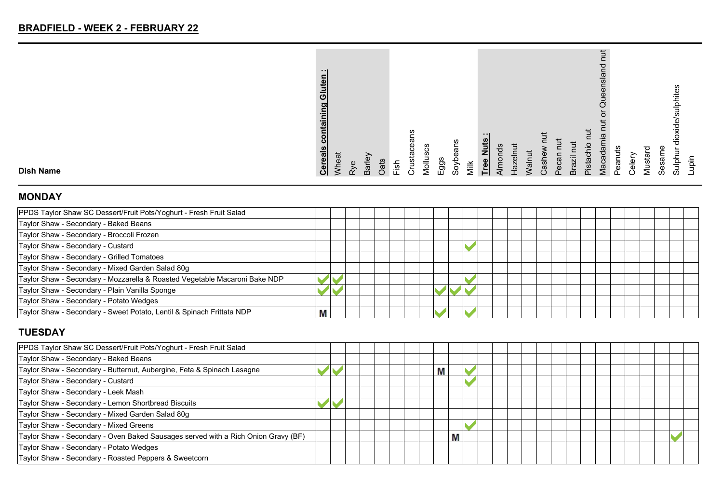| $\blacksquare$<br>Gluten<br>containing<br><b>Cereals</b> |
|----------------------------------------------------------|
| Wheat                                                    |
| Rye                                                      |
| Barley                                                   |
| Oats                                                     |
| Fish                                                     |
| Crustacea                                                |
| Molluscs                                                 |
| $E$ ggs                                                  |
| Soybeans                                                 |
| Milk                                                     |
| - 1<br><b>Tree Nuts</b>                                  |
| Almonds                                                  |
| Hazelnut                                                 |
| Walnut                                                   |
| Cashew nut                                               |
| Pecan nut                                                |
| Brazil nut                                               |
| īut<br>Pistachio                                         |
| Queensland<br>ਠ<br><b>Tut</b><br>Macadamia               |
| Peanuts                                                  |
| Celery                                                   |
| Mustard                                                  |
| Sesame                                                   |
| dioxide/sulphites<br>Sulphur                             |
| upin                                                     |
|                                                          |

#### **MONDAY**

**Dish Name**

| PPDS Taylor Shaw SC Dessert/Fruit Pots/Yoghurt - Fresh Fruit Salad         |   |  |  |  |  |  |  |  |  |  |  |
|----------------------------------------------------------------------------|---|--|--|--|--|--|--|--|--|--|--|
| Taylor Shaw - Secondary - Baked Beans                                      |   |  |  |  |  |  |  |  |  |  |  |
| Taylor Shaw - Secondary - Broccoli Frozen                                  |   |  |  |  |  |  |  |  |  |  |  |
| Taylor Shaw - Secondary - Custard                                          |   |  |  |  |  |  |  |  |  |  |  |
| Taylor Shaw - Secondary - Grilled Tomatoes                                 |   |  |  |  |  |  |  |  |  |  |  |
| Taylor Shaw - Secondary - Mixed Garden Salad 80g                           |   |  |  |  |  |  |  |  |  |  |  |
| Taylor Shaw - Secondary - Mozzarella & Roasted Vegetable Macaroni Bake NDP |   |  |  |  |  |  |  |  |  |  |  |
| Taylor Shaw - Secondary - Plain Vanilla Sponge                             |   |  |  |  |  |  |  |  |  |  |  |
| Taylor Shaw - Secondary - Potato Wedges                                    |   |  |  |  |  |  |  |  |  |  |  |
| Taylor Shaw - Secondary - Sweet Potato, Lentil & Spinach Frittata NDP      | М |  |  |  |  |  |  |  |  |  |  |

# **TUESDAY**

| PPDS Taylor Shaw SC Dessert/Fruit Pots/Yoghurt - Fresh Fruit Salad                |  |  |  |   |   |  |  |  |  |  |  |  |
|-----------------------------------------------------------------------------------|--|--|--|---|---|--|--|--|--|--|--|--|
| Taylor Shaw - Secondary - Baked Beans                                             |  |  |  |   |   |  |  |  |  |  |  |  |
| Taylor Shaw - Secondary - Butternut, Aubergine, Feta & Spinach Lasagne            |  |  |  | M |   |  |  |  |  |  |  |  |
| Taylor Shaw - Secondary - Custard                                                 |  |  |  |   |   |  |  |  |  |  |  |  |
| Taylor Shaw - Secondary - Leek Mash                                               |  |  |  |   |   |  |  |  |  |  |  |  |
| Taylor Shaw - Secondary - Lemon Shortbread Biscuits                               |  |  |  |   |   |  |  |  |  |  |  |  |
| Taylor Shaw - Secondary - Mixed Garden Salad 80g                                  |  |  |  |   |   |  |  |  |  |  |  |  |
| Taylor Shaw - Secondary - Mixed Greens                                            |  |  |  |   |   |  |  |  |  |  |  |  |
| Taylor Shaw - Secondary - Oven Baked Sausages served with a Rich Onion Gravy (BF) |  |  |  |   | M |  |  |  |  |  |  |  |
| Taylor Shaw - Secondary - Potato Wedges                                           |  |  |  |   |   |  |  |  |  |  |  |  |
| Taylor Shaw - Secondary - Roasted Peppers & Sweetcorn                             |  |  |  |   |   |  |  |  |  |  |  |  |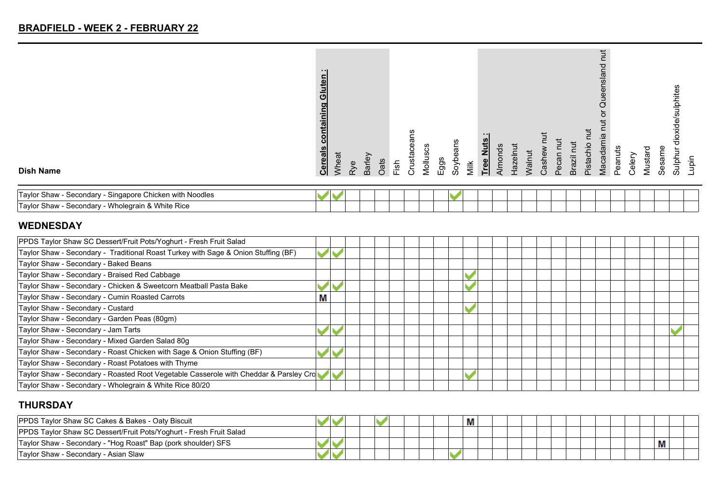|                  | - - 1<br>Gluten<br><u>ontaining</u><br>ပ<br><b>Cereals</b> | <b>Mheat</b> |     | Barley | Oats |      | 등<br>Ö,<br>Crusta | Molluscs | Eggs | Soybeans |      | $\cdot$ .<br><b>Tree Nuts</b> | Nmor | lazelnut | <b>Valnut</b> | Cash | π        | ∍<br>$\bar{\bar{\mathsf{n}}}$<br>Ø | ٩ŕ<br>Pistach | F.<br>ensland<br>ğ<br>♂<br>Macadamia | Peanuts | Celery | ு<br>Mustar | Sesame | alphites<br>ਜ਼ | Lupin |
|------------------|------------------------------------------------------------|--------------|-----|--------|------|------|-------------------|----------|------|----------|------|-------------------------------|------|----------|---------------|------|----------|------------------------------------|---------------|--------------------------------------|---------|--------|-------------|--------|----------------|-------|
| <b>Dish Name</b> |                                                            |              | Rye |        |      | Fish |                   |          |      |          | Milk |                               |      |          |               |      | C<br>Pec | ഩ്                                 |               |                                      |         |        |             |        | sulpt          |       |

| Noodles<br>: Chicken with<br>ˈTavloɪ<br>Shaw<br>Secondary<br>Singapore u |  |  |  |  |  |  |  |  |  |  |  |
|--------------------------------------------------------------------------|--|--|--|--|--|--|--|--|--|--|--|
| Wholegrain & White Rice<br>'Tavlo.<br>Shaw<br>Secondary ·                |  |  |  |  |  |  |  |  |  |  |  |

### **WEDNESDAY**

| PPDS Taylor Shaw SC Dessert/Fruit Pots/Yoghurt - Fresh Fruit Salad                    |   |  |  |  |  |  |  |  |  |  |  |
|---------------------------------------------------------------------------------------|---|--|--|--|--|--|--|--|--|--|--|
|                                                                                       |   |  |  |  |  |  |  |  |  |  |  |
| Taylor Shaw - Secondary - Traditional Roast Turkey with Sage & Onion Stuffing (BF)    |   |  |  |  |  |  |  |  |  |  |  |
| Taylor Shaw - Secondary - Baked Beans                                                 |   |  |  |  |  |  |  |  |  |  |  |
| Taylor Shaw - Secondary - Braised Red Cabbage                                         |   |  |  |  |  |  |  |  |  |  |  |
| Taylor Shaw - Secondary - Chicken & Sweetcorn Meatball Pasta Bake                     |   |  |  |  |  |  |  |  |  |  |  |
| Taylor Shaw - Secondary - Cumin Roasted Carrots                                       | Μ |  |  |  |  |  |  |  |  |  |  |
| Taylor Shaw - Secondary - Custard                                                     |   |  |  |  |  |  |  |  |  |  |  |
| Taylor Shaw - Secondary - Garden Peas (80gm)                                          |   |  |  |  |  |  |  |  |  |  |  |
| Taylor Shaw - Secondary - Jam Tarts                                                   |   |  |  |  |  |  |  |  |  |  |  |
| Taylor Shaw - Secondary - Mixed Garden Salad 80g                                      |   |  |  |  |  |  |  |  |  |  |  |
| Taylor Shaw - Secondary - Roast Chicken with Sage & Onion Stuffing (BF)               |   |  |  |  |  |  |  |  |  |  |  |
| Taylor Shaw - Secondary - Roast Potatoes with Thyme                                   |   |  |  |  |  |  |  |  |  |  |  |
| Taylor Shaw - Secondary - Roasted Root Vegetable Casserole with Cheddar & Parsley Cro |   |  |  |  |  |  |  |  |  |  |  |
| Taylor Shaw - Secondary - Wholegrain & White Rice 80/20                               |   |  |  |  |  |  |  |  |  |  |  |

### **THURSDAY**

| <b>PPDS Taylor Shaw SC Cakes &amp; Bakes - Oaty Biscuit</b>        |  |  |  |  | Μ |  |  |  |  |  |   |  |
|--------------------------------------------------------------------|--|--|--|--|---|--|--|--|--|--|---|--|
| PPDS Taylor Shaw SC Dessert/Fruit Pots/Yoghurt - Fresh Fruit Salad |  |  |  |  |   |  |  |  |  |  |   |  |
| Taylor Shaw - Secondary - "Hog Roast" Bap (pork shoulder) SFS      |  |  |  |  |   |  |  |  |  |  | М |  |
| Taylor Shaw - Secondary - Asian Slaw                               |  |  |  |  |   |  |  |  |  |  |   |  |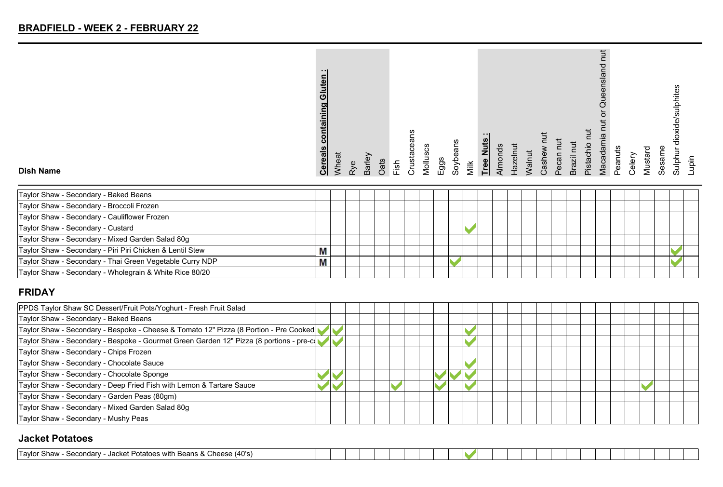| $\cdot$ .<br>containing Gluten<br><b>Cereals</b>  |
|---------------------------------------------------|
| Wheat                                             |
| Rye                                               |
| Barley                                            |
| Oats                                              |
| $1$ sh                                            |
| Crustaceans                                       |
| Molluscs                                          |
| Eggs                                              |
| Soybeans                                          |
| Milk                                              |
| Tree Nuts                                         |
| Almonds                                           |
| <b>Hazelnut</b>                                   |
| Walnut                                            |
| Cashew                                            |
| Pecan nut                                         |
| Brazil nut                                        |
| πū<br>Pistachio                                   |
| ち<br>or Queensland<br>$\overline{5}$<br>Macadamia |
| Peanuts                                           |
| Celery                                            |
| Mustard                                           |
| Sesame                                            |
| dioxide/sulphites<br>Sulphur                      |
| upin                                              |
|                                                   |

#### **Dish Name**

| Taylor Shaw - Secondary - Baked Beans                     |   |  |  |  |  |  |  |  |  |  |  |
|-----------------------------------------------------------|---|--|--|--|--|--|--|--|--|--|--|
| Taylor Shaw - Secondary - Broccoli Frozen                 |   |  |  |  |  |  |  |  |  |  |  |
| Taylor Shaw - Secondary - Cauliflower Frozen              |   |  |  |  |  |  |  |  |  |  |  |
| Taylor Shaw - Secondary - Custard                         |   |  |  |  |  |  |  |  |  |  |  |
| Taylor Shaw - Secondary - Mixed Garden Salad 80g          |   |  |  |  |  |  |  |  |  |  |  |
| Taylor Shaw - Secondary - Piri Piri Chicken & Lentil Stew | Μ |  |  |  |  |  |  |  |  |  |  |
| Taylor Shaw - Secondary - Thai Green Vegetable Curry NDP  | M |  |  |  |  |  |  |  |  |  |  |
| Taylor Shaw - Secondary - Wholegrain & White Rice 80/20   |   |  |  |  |  |  |  |  |  |  |  |

#### **FRIDAY**

| PPDS Taylor Shaw SC Dessert/Fruit Pots/Yoghurt - Fresh Fruit Salad                      |  |  |  |  |  |  |  |  |  |  |  |
|-----------------------------------------------------------------------------------------|--|--|--|--|--|--|--|--|--|--|--|
| Taylor Shaw - Secondary - Baked Beans                                                   |  |  |  |  |  |  |  |  |  |  |  |
| Taylor Shaw - Secondary - Bespoke - Cheese & Tomato 12" Pizza (8 Portion - Pre Cooked   |  |  |  |  |  |  |  |  |  |  |  |
| Taylor Shaw - Secondary - Bespoke - Gourmet Green Garden 12" Pizza (8 portions - pre-co |  |  |  |  |  |  |  |  |  |  |  |
| Taylor Shaw - Secondary - Chips Frozen                                                  |  |  |  |  |  |  |  |  |  |  |  |
| Taylor Shaw - Secondary - Chocolate Sauce                                               |  |  |  |  |  |  |  |  |  |  |  |
| Taylor Shaw - Secondary - Chocolate Sponge                                              |  |  |  |  |  |  |  |  |  |  |  |
| Taylor Shaw - Secondary - Deep Fried Fish with Lemon & Tartare Sauce                    |  |  |  |  |  |  |  |  |  |  |  |
| Taylor Shaw - Secondary - Garden Peas (80gm)                                            |  |  |  |  |  |  |  |  |  |  |  |
| Taylor Shaw - Secondary - Mixed Garden Salad 80g                                        |  |  |  |  |  |  |  |  |  |  |  |
| Taylor Shaw - Secondary - Mushy Peas                                                    |  |  |  |  |  |  |  |  |  |  |  |

#### **Jacket Potatoes**

| (40's)<br>Favlo<br>Jacket Potatoes with<br>Secondarv<br><b>Show</b><br>`hooco<br>⊤Beans<br>או הכונ<br><b>UILLOL</b> |  |  |  |  |  |  |  |  |  |  |  |  |
|---------------------------------------------------------------------------------------------------------------------|--|--|--|--|--|--|--|--|--|--|--|--|
|                                                                                                                     |  |  |  |  |  |  |  |  |  |  |  |  |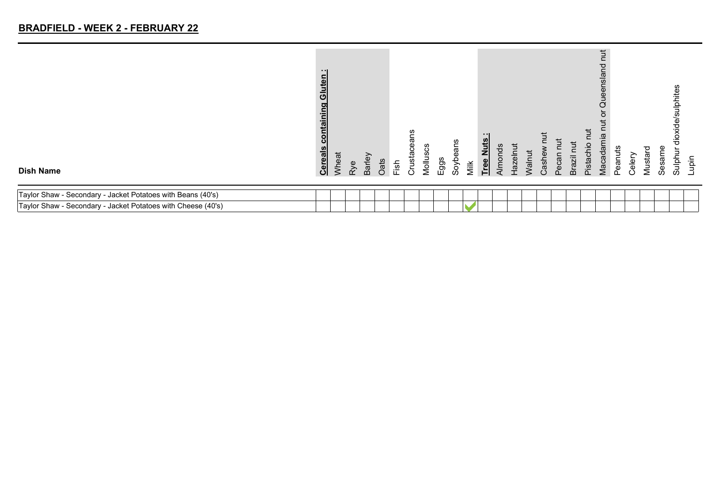| <b>Dish Name</b>                                             | .<br>Gluten<br><u>containing</u><br><b>Cereals</b> | Wheat | Rye | Barley | Oats | Fish | Crustacea | Molluso | $E$ ggs | Soybeans | Milk | <b>Tree Nuts</b> | Almonds | Hazelnut | Walnut | Cashew | Pecan | Brazil | Pistachio | hut<br>Queensland<br>Macadamia | Peanuts | Celery | Mustard | Sesame | ulphites<br>Sulphur | Lupin |
|--------------------------------------------------------------|----------------------------------------------------|-------|-----|--------|------|------|-----------|---------|---------|----------|------|------------------|---------|----------|--------|--------|-------|--------|-----------|--------------------------------|---------|--------|---------|--------|---------------------|-------|
| Taylor Shaw - Secondary - Jacket Potatoes with Beans (40's)  |                                                    |       |     |        |      |      |           |         |         |          |      |                  |         |          |        |        |       |        |           |                                |         |        |         |        |                     |       |
| Taylor Shaw - Secondary - Jacket Potatoes with Cheese (40's) |                                                    |       |     |        |      |      |           |         |         |          |      |                  |         |          |        |        |       |        |           |                                |         |        |         |        |                     |       |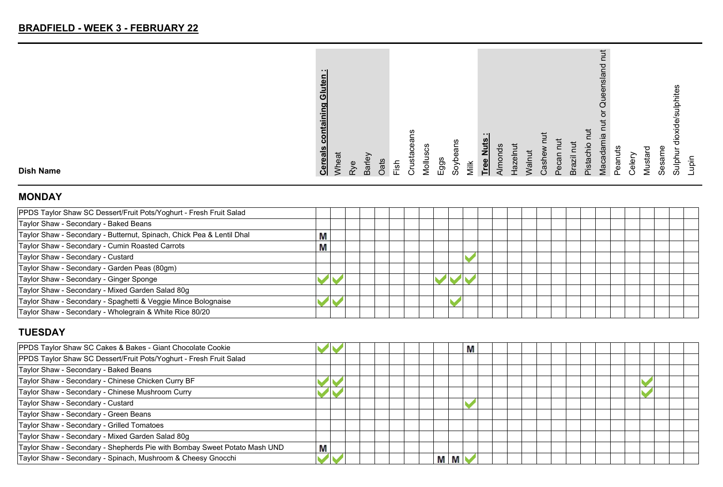| <b>Cereals</b>                   |
|----------------------------------|
| Wheat                            |
| Rye                              |
| Barley                           |
| Oats                             |
| Fish                             |
| Crustaceans                      |
| Molluscs                         |
| Eggs                             |
| Soybeans                         |
| Milk                             |
| - - 1<br>Tree Nuts               |
| Almonds                          |
| Hazelnut                         |
| Walnut                           |
| Cashew                           |
| Pecan nut                        |
| Brazil nut                       |
| Pistachio nut                    |
| Queensland<br>ð<br>Macadamia nut |
| Peanuts                          |
| Celery                           |
| Mustard                          |
| Sesame                           |
| Sulphur dioxide/sulphites        |
| Lupin                            |
|                                  |

### **MONDAY**

**Dish Name**

| PPDS Taylor Shaw SC Dessert/Fruit Pots/Yoghurt - Fresh Fruit Salad    |   |  |  |  |  |  |  |  |
|-----------------------------------------------------------------------|---|--|--|--|--|--|--|--|
| Taylor Shaw - Secondary - Baked Beans                                 |   |  |  |  |  |  |  |  |
| Taylor Shaw - Secondary - Butternut, Spinach, Chick Pea & Lentil Dhal | M |  |  |  |  |  |  |  |
| Taylor Shaw - Secondary - Cumin Roasted Carrots                       | M |  |  |  |  |  |  |  |
| Taylor Shaw - Secondary - Custard                                     |   |  |  |  |  |  |  |  |
| Taylor Shaw - Secondary - Garden Peas (80gm)                          |   |  |  |  |  |  |  |  |
| Taylor Shaw - Secondary - Ginger Sponge                               |   |  |  |  |  |  |  |  |
| Taylor Shaw - Secondary - Mixed Garden Salad 80g                      |   |  |  |  |  |  |  |  |
| Taylor Shaw - Secondary - Spaghetti & Veggie Mince Bolognaise         |   |  |  |  |  |  |  |  |
| Taylor Shaw - Secondary - Wholegrain & White Rice 80/20               |   |  |  |  |  |  |  |  |

# **TUESDAY**

| PPDS Taylor Shaw SC Cakes & Bakes - Giant Chocolate Cookie                |   |  |  |  |   | M |  |  |  |  |  |  |
|---------------------------------------------------------------------------|---|--|--|--|---|---|--|--|--|--|--|--|
| PPDS Taylor Shaw SC Dessert/Fruit Pots/Yoghurt - Fresh Fruit Salad        |   |  |  |  |   |   |  |  |  |  |  |  |
| Taylor Shaw - Secondary - Baked Beans                                     |   |  |  |  |   |   |  |  |  |  |  |  |
| Taylor Shaw - Secondary - Chinese Chicken Curry BF                        |   |  |  |  |   |   |  |  |  |  |  |  |
| Taylor Shaw - Secondary - Chinese Mushroom Curry                          |   |  |  |  |   |   |  |  |  |  |  |  |
| Taylor Shaw - Secondary - Custard                                         |   |  |  |  |   |   |  |  |  |  |  |  |
| Taylor Shaw - Secondary - Green Beans                                     |   |  |  |  |   |   |  |  |  |  |  |  |
| Taylor Shaw - Secondary - Grilled Tomatoes                                |   |  |  |  |   |   |  |  |  |  |  |  |
| Taylor Shaw - Secondary - Mixed Garden Salad 80g                          |   |  |  |  |   |   |  |  |  |  |  |  |
| Taylor Shaw - Secondary - Shepherds Pie with Bombay Sweet Potato Mash UND | Μ |  |  |  |   |   |  |  |  |  |  |  |
| Taylor Shaw - Secondary - Spinach, Mushroom & Cheesy Gnocchi              |   |  |  |  | М |   |  |  |  |  |  |  |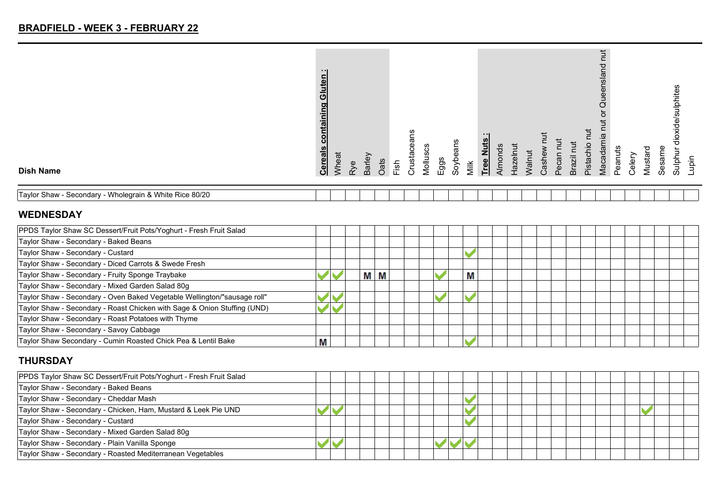| <b>Dish Name</b>                                        | $\blacksquare$<br>Gluten<br>containing<br><b>Cereals</b> | Wheat | Rye | Barley | Oats | Fish | c.<br>ള<br>Crust | Mollu | Eggs | ans<br>Φ<br>Soyb | Milk | uts<br><b>Tree Ni</b> | Almo | $rac{e}{\sqrt{2}}$ | <b>Nalnut</b> | Cash | <b>lecal</b><br><sup>n</sup> | Brazil | Pistac | $\overline{5}$<br>p<br>enslar<br>ğ<br>♂<br>Macadar | Peanuts | Celery | ञ<br>Musta | Sesame | ਨੋ<br>Sulphi | qiqu |
|---------------------------------------------------------|----------------------------------------------------------|-------|-----|--------|------|------|------------------|-------|------|------------------|------|-----------------------|------|--------------------|---------------|------|------------------------------|--------|--------|----------------------------------------------------|---------|--------|------------|--------|--------------|------|
| Taylor Shaw - Secondary - Wholegrain & White Rice 80/20 |                                                          |       |     |        |      |      |                  |       |      |                  |      |                       |      |                    |               |      |                              |        |        |                                                    |         |        |            |        |              |      |

#### **WEDNESDAY**

| PPDS Taylor Shaw SC Dessert/Fruit Pots/Yoghurt - Fresh Fruit Salad       |   |  |   |   |  |  |   |  |  |  |  |  |  |  |
|--------------------------------------------------------------------------|---|--|---|---|--|--|---|--|--|--|--|--|--|--|
| Taylor Shaw - Secondary - Baked Beans                                    |   |  |   |   |  |  |   |  |  |  |  |  |  |  |
| Taylor Shaw - Secondary - Custard                                        |   |  |   |   |  |  |   |  |  |  |  |  |  |  |
| Taylor Shaw - Secondary - Diced Carrots & Swede Fresh                    |   |  |   |   |  |  |   |  |  |  |  |  |  |  |
| Taylor Shaw - Secondary - Fruity Sponge Traybake                         |   |  | М | M |  |  | Μ |  |  |  |  |  |  |  |
| Taylor Shaw - Secondary - Mixed Garden Salad 80g                         |   |  |   |   |  |  |   |  |  |  |  |  |  |  |
| Taylor Shaw - Secondary - Oven Baked Vegetable Wellington/"sausage roll" |   |  |   |   |  |  |   |  |  |  |  |  |  |  |
| Taylor Shaw - Secondary - Roast Chicken with Sage & Onion Stuffing (UND) |   |  |   |   |  |  |   |  |  |  |  |  |  |  |
| Taylor Shaw - Secondary - Roast Potatoes with Thyme                      |   |  |   |   |  |  |   |  |  |  |  |  |  |  |
| Taylor Shaw - Secondary - Savoy Cabbage                                  |   |  |   |   |  |  |   |  |  |  |  |  |  |  |
| Taylor Shaw Secondary - Cumin Roasted Chick Pea & Lentil Bake            | Μ |  |   |   |  |  |   |  |  |  |  |  |  |  |

### **THURSDAY**

| PPDS Taylor Shaw SC Dessert/Fruit Pots/Yoghurt - Fresh Fruit Salad |  |  |  |  |  |  |  |  |
|--------------------------------------------------------------------|--|--|--|--|--|--|--|--|
| Taylor Shaw - Secondary - Baked Beans                              |  |  |  |  |  |  |  |  |
| Taylor Shaw - Secondary - Cheddar Mash                             |  |  |  |  |  |  |  |  |
| Taylor Shaw - Secondary - Chicken, Ham, Mustard & Leek Pie UND     |  |  |  |  |  |  |  |  |
| Taylor Shaw - Secondary - Custard                                  |  |  |  |  |  |  |  |  |
| Taylor Shaw - Secondary - Mixed Garden Salad 80g                   |  |  |  |  |  |  |  |  |
| Taylor Shaw - Secondary - Plain Vanilla Sponge                     |  |  |  |  |  |  |  |  |
| Taylor Shaw - Secondary - Roasted Mediterranean Vegetables         |  |  |  |  |  |  |  |  |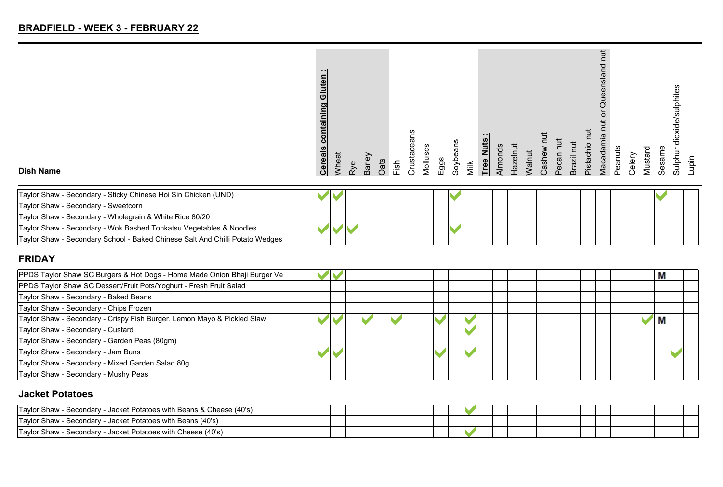| <b>Dish Name</b> | - - 1<br>Gluten<br>containing<br><b>Cereals</b> | <b>Mheat</b> | Rye | Barley |      | $1$ sh | ត<br>စွ<br>usta<br>$\tilde{\sigma}$ | ვ<br>Mollus |      | ans<br>٥ |      | .<br>Tree Nuts | Almonds | lazelnut | <b>Nalnut</b> |      | $\vec{p}$<br>ပ<br>$\overline{a}$ | ⊇<br>Brazil | Ē.<br>ءِ.<br>०<br>ista | Macadamia | Peanuts | ↗     | ᅙ<br>Mustai | ಹ<br>w<br>ഗ | ulphites<br>ëpi<br>⌒<br>မ္မ<br>Sulph | aiqu |
|------------------|-------------------------------------------------|--------------|-----|--------|------|--------|-------------------------------------|-------------|------|----------|------|----------------|---------|----------|---------------|------|----------------------------------|-------------|------------------------|-----------|---------|-------|-------------|-------------|--------------------------------------|------|
|                  |                                                 |              |     |        | Oats |        |                                     |             | Eggs | Soyb     | Milk |                |         |          |               | Cash |                                  |             |                        |           |         | Celer |             |             |                                      |      |

| Taylor Shaw - Secondary - Sticky Chinese Hoi Sin Chicken (UND)               |  |  |  |  |  |  |  |  |  |  |  |
|------------------------------------------------------------------------------|--|--|--|--|--|--|--|--|--|--|--|
| Taylor Shaw - Secondary - Sweetcorn                                          |  |  |  |  |  |  |  |  |  |  |  |
| Taylor Shaw - Secondary - Wholegrain & White Rice 80/20                      |  |  |  |  |  |  |  |  |  |  |  |
| Taylor Shaw - Secondary - Wok Bashed Tonkatsu Vegetables & Noodles           |  |  |  |  |  |  |  |  |  |  |  |
| Taylor Shaw - Secondary School - Baked Chinese Salt And Chilli Potato Wedges |  |  |  |  |  |  |  |  |  |  |  |

#### **FRIDAY**

| PPDS Taylor Shaw SC Burgers & Hot Dogs - Home Made Onion Bhaji Burger Ve |  |  |  |  |  |  |  |  |  |  | М |  |
|--------------------------------------------------------------------------|--|--|--|--|--|--|--|--|--|--|---|--|
| PPDS Taylor Shaw SC Dessert/Fruit Pots/Yoghurt - Fresh Fruit Salad       |  |  |  |  |  |  |  |  |  |  |   |  |
| Taylor Shaw - Secondary - Baked Beans                                    |  |  |  |  |  |  |  |  |  |  |   |  |
| Taylor Shaw - Secondary - Chips Frozen                                   |  |  |  |  |  |  |  |  |  |  |   |  |
| Taylor Shaw - Secondary - Crispy Fish Burger, Lemon Mayo & Pickled Slaw  |  |  |  |  |  |  |  |  |  |  | М |  |
| Taylor Shaw - Secondary - Custard                                        |  |  |  |  |  |  |  |  |  |  |   |  |
| Taylor Shaw - Secondary - Garden Peas (80gm)                             |  |  |  |  |  |  |  |  |  |  |   |  |
| Taylor Shaw - Secondary - Jam Buns                                       |  |  |  |  |  |  |  |  |  |  |   |  |
| Taylor Shaw - Secondary - Mixed Garden Salad 80g                         |  |  |  |  |  |  |  |  |  |  |   |  |
| Taylor Shaw - Secondary - Mushy Peas                                     |  |  |  |  |  |  |  |  |  |  |   |  |

### **Jacket Potatoes**

| Taylor Shaw - Secondary - Jacket Potatoes with Beans & Cheese (40's) |  |  |  |  |  |  |  |  |  |  |
|----------------------------------------------------------------------|--|--|--|--|--|--|--|--|--|--|
| Taylor Shaw - Secondary - Jacket Potatoes with Beans (40's)          |  |  |  |  |  |  |  |  |  |  |
| Taylor Shaw - Secondary - Jacket Potatoes with Cheese (40's)         |  |  |  |  |  |  |  |  |  |  |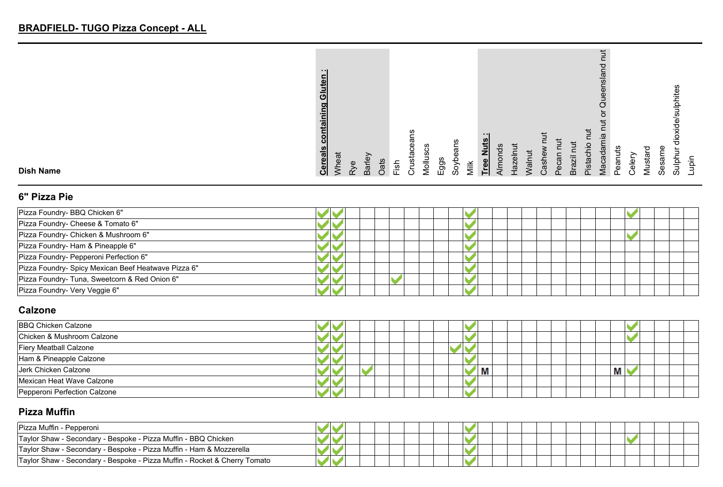|                  | - - 1<br>Ξ<br>$\bar{\bm{o}}$<br>O.<br>Έ<br>:ಕ<br><b>Cereals</b> | Vheat |    | Barley |             |               | ഗു<br>ត<br>Φ<br>Ō<br>usta | ပ္ပ<br>Mollus | Eggs | eans<br>Soyb |      | $\cdot$ $\cdot$ I<br>Tree Nuts | Nmond | <b>Hazelr</b> | $\bar{5}$ | ndse: | Pecan | -<br>Brazil | ٩ŕ<br>Pistach | ਠ<br>$\frac{1}{2}$<br>amia<br>P<br>$A$ aca | w<br>Peanut | eler | P<br>Musta | Sesarr | ulphites<br>မ္ထ<br>੶ਰ | upin |
|------------------|-----------------------------------------------------------------|-------|----|--------|-------------|---------------|---------------------------|---------------|------|--------------|------|--------------------------------|-------|---------------|-----------|-------|-------|-------------|---------------|--------------------------------------------|-------------|------|------------|--------|-----------------------|------|
| <b>Dish Name</b> |                                                                 |       | ξλ |        | $\tilde{c}$ | $\frac{1}{2}$ | ∺.                        |               |      |              | Milk |                                |       |               |           |       |       |             |               |                                            |             |      |            |        | Sulpt                 |      |

### **6" Pizza Pie**

| Pizza Foundry- BBQ Chicken 6"                       |  |
|-----------------------------------------------------|--|
| Pizza Foundry- Cheese & Tomato 6"                   |  |
| Pizza Foundry- Chicken & Mushroom 6"                |  |
| Pizza Foundry- Ham & Pineapple 6"                   |  |
| Pizza Foundry- Pepperoni Perfection 6"              |  |
| Pizza Foundry- Spicy Mexican Beef Heatwave Pizza 6" |  |
| Pizza Foundry- Tuna, Sweetcorn & Red Onion 6"       |  |
| Pizza Foundry- Very Veggie 6"                       |  |

### **Calzone**

| <b>BBQ Chicken Calzone</b>    |  |  |  |   |  |  |  |   |  |  |
|-------------------------------|--|--|--|---|--|--|--|---|--|--|
| Chicken & Mushroom Calzone    |  |  |  |   |  |  |  |   |  |  |
| <b>Fiery Meatball Calzone</b> |  |  |  |   |  |  |  |   |  |  |
| Ham & Pineapple Calzone       |  |  |  |   |  |  |  |   |  |  |
| Jerk Chicken Calzone          |  |  |  | Μ |  |  |  | ш |  |  |
| Mexican Heat Wave Calzone     |  |  |  |   |  |  |  |   |  |  |
| Pepperoni Perfection Calzone  |  |  |  |   |  |  |  |   |  |  |

#### **Pizza Muffin**

| Pizza Muffin - Pepperoni                                                  |  |  |  |  |  |  |  |  |  |  |  |  |  |  |  |
|---------------------------------------------------------------------------|--|--|--|--|--|--|--|--|--|--|--|--|--|--|--|
| Taylor Shaw - Secondary - Bespoke - Pizza Muffin - BBQ Chicken            |  |  |  |  |  |  |  |  |  |  |  |  |  |  |  |
| Taylor Shaw - Secondary - Bespoke - Pizza Muffin - Ham & Mozzerella       |  |  |  |  |  |  |  |  |  |  |  |  |  |  |  |
| Taylor Shaw - Secondary - Bespoke - Pizza Muffin - Rocket & Cherry Tomato |  |  |  |  |  |  |  |  |  |  |  |  |  |  |  |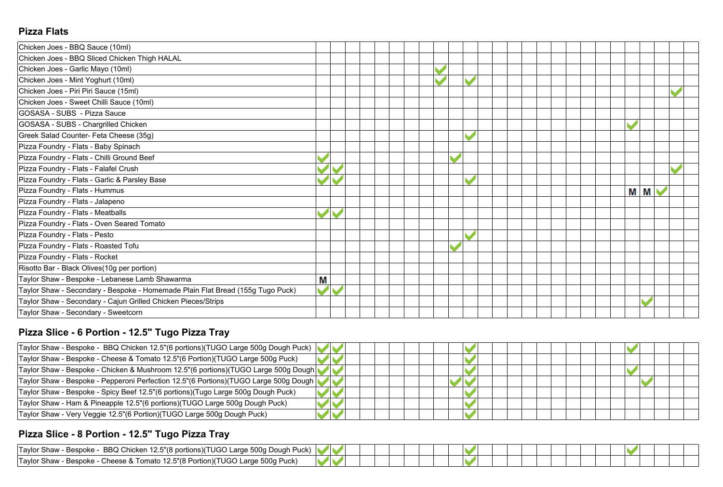### **Pizza Flats**

| Chicken Joes - BBQ Sauce (10ml)                                                |   |  |  |  |                       |  |  |  |  |   |                |  |
|--------------------------------------------------------------------------------|---|--|--|--|-----------------------|--|--|--|--|---|----------------|--|
| Chicken Joes - BBQ Sliced Chicken Thigh HALAL                                  |   |  |  |  |                       |  |  |  |  |   |                |  |
| Chicken Joes - Garlic Mayo (10ml)                                              |   |  |  |  | $\blacktriangleright$ |  |  |  |  |   |                |  |
| Chicken Joes - Mint Yoghurt (10ml)                                             |   |  |  |  |                       |  |  |  |  |   |                |  |
| Chicken Joes - Piri Piri Sauce (15ml)                                          |   |  |  |  |                       |  |  |  |  |   |                |  |
| Chicken Joes - Sweet Chilli Sauce (10ml)                                       |   |  |  |  |                       |  |  |  |  |   |                |  |
| GOSASA - SUBS - Pizza Sauce                                                    |   |  |  |  |                       |  |  |  |  |   |                |  |
| GOSASA - SUBS - Chargrilled Chicken                                            |   |  |  |  |                       |  |  |  |  |   |                |  |
| Greek Salad Counter- Feta Cheese (35g)                                         |   |  |  |  |                       |  |  |  |  |   |                |  |
| Pizza Foundry - Flats - Baby Spinach                                           |   |  |  |  |                       |  |  |  |  |   |                |  |
| Pizza Foundry - Flats - Chilli Ground Beef                                     |   |  |  |  |                       |  |  |  |  |   |                |  |
| Pizza Foundry - Flats - Falafel Crush                                          |   |  |  |  |                       |  |  |  |  |   |                |  |
| Pizza Foundry - Flats - Garlic & Parsley Base                                  |   |  |  |  |                       |  |  |  |  |   |                |  |
| Pizza Foundry - Flats - Hummus                                                 |   |  |  |  |                       |  |  |  |  | М | M <sup>1</sup> |  |
| Pizza Foundry - Flats - Jalapeno                                               |   |  |  |  |                       |  |  |  |  |   |                |  |
| Pizza Foundry - Flats - Meatballs                                              |   |  |  |  |                       |  |  |  |  |   |                |  |
| Pizza Foundry - Flats - Oven Seared Tomato                                     |   |  |  |  |                       |  |  |  |  |   |                |  |
| Pizza Foundry - Flats - Pesto                                                  |   |  |  |  |                       |  |  |  |  |   |                |  |
| Pizza Foundry - Flats - Roasted Tofu                                           |   |  |  |  |                       |  |  |  |  |   |                |  |
| Pizza Foundry - Flats - Rocket                                                 |   |  |  |  |                       |  |  |  |  |   |                |  |
| Risotto Bar - Black Olives(10g per portion)                                    |   |  |  |  |                       |  |  |  |  |   |                |  |
| Taylor Shaw - Bespoke - Lebanese Lamb Shawarma                                 | М |  |  |  |                       |  |  |  |  |   |                |  |
| Taylor Shaw - Secondary - Bespoke - Homemade Plain Flat Bread (155g Tugo Puck) |   |  |  |  |                       |  |  |  |  |   |                |  |
| Taylor Shaw - Secondary - Cajun Grilled Chicken Pieces/Strips                  |   |  |  |  |                       |  |  |  |  |   |                |  |
| Taylor Shaw - Secondary - Sweetcorn                                            |   |  |  |  |                       |  |  |  |  |   |                |  |

# **Pizza Slice - 6 Portion - 12.5" Tugo Pizza Tray**

| Taylor Shaw - Bespoke - BBQ Chicken 12.5"(6 portions)(TUGO Large 500g Dough Puck)    |  |  |  |  |  |  |  |  |  |  |
|--------------------------------------------------------------------------------------|--|--|--|--|--|--|--|--|--|--|
| Taylor Shaw - Bespoke - Cheese & Tomato 12.5"(6 Portion)(TUGO Large 500g Puck)       |  |  |  |  |  |  |  |  |  |  |
| Taylor Shaw - Bespoke - Chicken & Mushroom 12.5"(6 portions)(TUGO Large 500g Dough   |  |  |  |  |  |  |  |  |  |  |
| Taylor Shaw - Bespoke - Pepperoni Perfection 12.5"(6 Portions)(TUGO Large 500g Dough |  |  |  |  |  |  |  |  |  |  |
| Taylor Shaw - Bespoke - Spicy Beef 12.5"(6 portions)(Tugo Large 500g Dough Puck)     |  |  |  |  |  |  |  |  |  |  |
| Taylor Shaw - Ham & Pineapple 12.5"(6 portions)(TUGO Large 500g Dough Puck)          |  |  |  |  |  |  |  |  |  |  |
| Taylor Shaw - Very Veggie 12.5"(6 Portion)(TUGO Large 500g Dough Puck)               |  |  |  |  |  |  |  |  |  |  |

# **Pizza Slice - 8 Portion - 12.5" Tugo Pizza Tray**

| 2 Chicken 12.5"(8 portions)(TUGO<br><b>BBQ</b><br>'Tavlor<br>, TUGO Large 500g Dough),<br>Bespoke -<br>. Shaw<br>Puck |  |  |  |  |  |  |  |  |  |  |
|-----------------------------------------------------------------------------------------------------------------------|--|--|--|--|--|--|--|--|--|--|
| 500g<br>रे Tomato 12.5"(8 Portion)(TUGO Large 5<br>· Puck.<br>'Tavlor<br>Cheese &<br>r Shaw<br>Bespoke -              |  |  |  |  |  |  |  |  |  |  |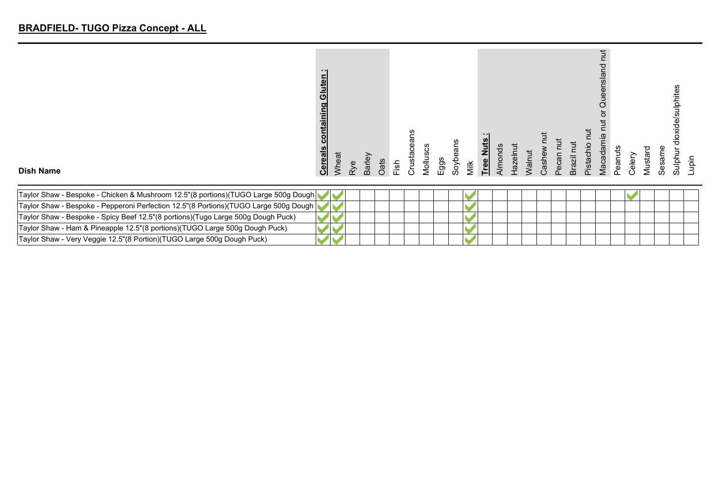|                  | - 11<br>Gluten<br>containing<br><b>Cereals</b> | Wheat | Φ                    | බ    | ഇ.     |      | Crusta | <b>U)</b><br>ပ |      | eans |      | $\cdot$ .<br>Tree Nuts |      |                    | valn |      | ঢ়ৢ                   |        |       | Ë.<br>ᅙ<br>nslan<br>$\overline{\mathbb{Q}}$<br>e≣<br>ᆖ<br>ø<br>ਹ | Peanuts | aler | P     |       | sulphites<br>(ide<br>응 |     |
|------------------|------------------------------------------------|-------|----------------------|------|--------|------|--------|----------------|------|------|------|------------------------|------|--------------------|------|------|-----------------------|--------|-------|------------------------------------------------------------------|---------|------|-------|-------|------------------------|-----|
| <b>Dish Name</b> |                                                |       | $\widetilde{\alpha}$ | Barl | ි<br>උ | Fish |        | Mollus         | Eggs | Soyb | Milk |                        | Almo | $rac{e}{\sqrt{2}}$ |      | Cash | $\bar{a}$<br>$\Omega$ | Brazil | pista | Maca                                                             |         | ပ    | Musta | Sesan | Sulpt                  | iqu |

| Taylor Shaw - Bespoke - Chicken & Mushroom 12.5"(8 portions)(TUGO Large 500g Dough   |  |  |  |  |  |  |  |  |  |  |
|--------------------------------------------------------------------------------------|--|--|--|--|--|--|--|--|--|--|
| Taylor Shaw - Bespoke - Pepperoni Perfection 12.5"(8 Portions)(TUGO Large 500g Dough |  |  |  |  |  |  |  |  |  |  |
| Taylor Shaw - Bespoke - Spicy Beef 12.5"(8 portions)(Tugo Large 500g Dough Puck)     |  |  |  |  |  |  |  |  |  |  |
| Taylor Shaw - Ham & Pineapple 12.5"(8 portions)(TUGO Large 500g Dough Puck)          |  |  |  |  |  |  |  |  |  |  |
| Taylor Shaw - Very Veggie 12.5"(8 Portion)(TUGO Large 500g Dough Puck)               |  |  |  |  |  |  |  |  |  |  |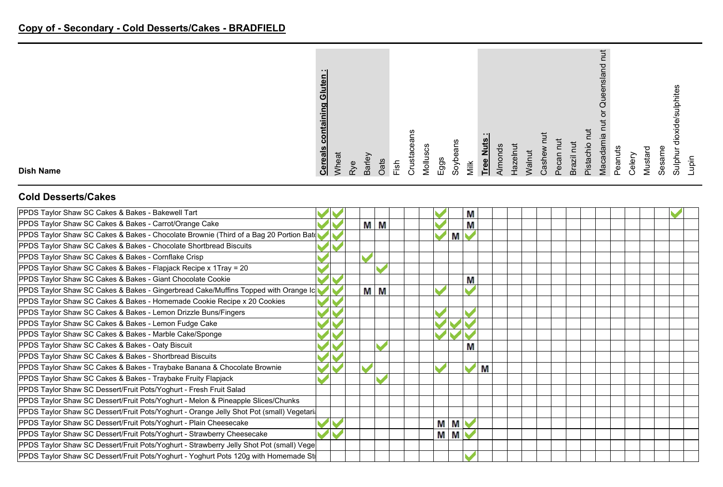|                  | - 11<br>Gluten<br>ontaining<br>ပ<br><b>Cereals</b> | <b>Mheat</b> | P | Barley | Oats | $1$ sh | usta | Vlolluscs | Eggs | eans<br>Soyb | Vilk | ---<br>$\mathbf{z}$<br><b>Tree</b> | <b>Almonds</b> | lazelnut | <b>Nalnut</b> | Cashe | ပ<br>Φ | Ĕ<br>Brazil | $\overline{a}$<br>Pistachio | ≒<br>Macadamia | Peanuts | jeier | ▿<br>Mustar | உ<br>Sesam | nites<br>흨<br>ᄒ<br>≒<br>Sulphu | upin |
|------------------|----------------------------------------------------|--------------|---|--------|------|--------|------|-----------|------|--------------|------|------------------------------------|----------------|----------|---------------|-------|--------|-------------|-----------------------------|----------------|---------|-------|-------------|------------|--------------------------------|------|
| <b>Dish Name</b> |                                                    |              |   |        |      |        | ∼    |           |      |              |      |                                    |                |          |               |       | C      |             |                             |                |         |       |             |            |                                |      |

#### **Cold Desserts/Cakes**

| PPDS Taylor Shaw SC Cakes & Bakes - Bakewell Tart                                        |  |   |   |  |   |   | M |   |  |  |  |  |  |
|------------------------------------------------------------------------------------------|--|---|---|--|---|---|---|---|--|--|--|--|--|
| PPDS Taylor Shaw SC Cakes & Bakes - Carrot/Orange Cake                                   |  | M | М |  |   |   | Μ |   |  |  |  |  |  |
| PPDS Taylor Shaw SC Cakes & Bakes - Chocolate Brownie (Third of a Bag 20 Portion Bat     |  |   |   |  |   | M |   |   |  |  |  |  |  |
| PPDS Taylor Shaw SC Cakes & Bakes - Chocolate Shortbread Biscuits                        |  |   |   |  |   |   |   |   |  |  |  |  |  |
| PPDS Taylor Shaw SC Cakes & Bakes - Cornflake Crisp                                      |  |   |   |  |   |   |   |   |  |  |  |  |  |
| PPDS Taylor Shaw SC Cakes & Bakes - Flapjack Recipe x 1Tray = 20                         |  |   |   |  |   |   |   |   |  |  |  |  |  |
| PPDS Taylor Shaw SC Cakes & Bakes - Giant Chocolate Cookie                               |  |   |   |  |   |   | Μ |   |  |  |  |  |  |
| PPDS Taylor Shaw SC Cakes & Bakes - Gingerbread Cake/Muffins Topped with Orange Ic       |  | M | М |  |   |   |   |   |  |  |  |  |  |
| PPDS Taylor Shaw SC Cakes & Bakes - Homemade Cookie Recipe x 20 Cookies                  |  |   |   |  |   |   |   |   |  |  |  |  |  |
| PPDS Taylor Shaw SC Cakes & Bakes - Lemon Drizzle Buns/Fingers                           |  |   |   |  |   |   |   |   |  |  |  |  |  |
| PPDS Taylor Shaw SC Cakes & Bakes - Lemon Fudge Cake                                     |  |   |   |  |   |   |   |   |  |  |  |  |  |
| PPDS Taylor Shaw SC Cakes & Bakes - Marble Cake/Sponge                                   |  |   |   |  |   |   |   |   |  |  |  |  |  |
| PPDS Taylor Shaw SC Cakes & Bakes - Oaty Biscuit                                         |  |   |   |  |   |   | M |   |  |  |  |  |  |
| PPDS Taylor Shaw SC Cakes & Bakes - Shortbread Biscuits                                  |  |   |   |  |   |   |   |   |  |  |  |  |  |
| PPDS Taylor Shaw SC Cakes & Bakes - Traybake Banana & Chocolate Brownie                  |  |   |   |  |   |   |   | M |  |  |  |  |  |
| PPDS Taylor Shaw SC Cakes & Bakes - Traybake Fruity Flapjack                             |  |   |   |  |   |   |   |   |  |  |  |  |  |
| PPDS Taylor Shaw SC Dessert/Fruit Pots/Yoghurt - Fresh Fruit Salad                       |  |   |   |  |   |   |   |   |  |  |  |  |  |
| PPDS Taylor Shaw SC Dessert/Fruit Pots/Yoghurt - Melon & Pineapple Slices/Chunks         |  |   |   |  |   |   |   |   |  |  |  |  |  |
| PPDS Taylor Shaw SC Dessert/Fruit Pots/Yoghurt - Orange Jelly Shot Pot (small) Vegetari. |  |   |   |  |   |   |   |   |  |  |  |  |  |
| PPDS Taylor Shaw SC Dessert/Fruit Pots/Yoghurt - Plain Cheesecake                        |  |   |   |  | М | M |   |   |  |  |  |  |  |
| PPDS Taylor Shaw SC Dessert/Fruit Pots/Yoghurt - Strawberry Cheesecake                   |  |   |   |  | М | M |   |   |  |  |  |  |  |
| PPDS Taylor Shaw SC Dessert/Fruit Pots/Yoghurt - Strawberry Jelly Shot Pot (small) Vege  |  |   |   |  |   |   |   |   |  |  |  |  |  |
| PPDS Taylor Shaw SC Dessert/Fruit Pots/Yoghurt - Yoghurt Pots 120g with Homemade St      |  |   |   |  |   |   |   |   |  |  |  |  |  |